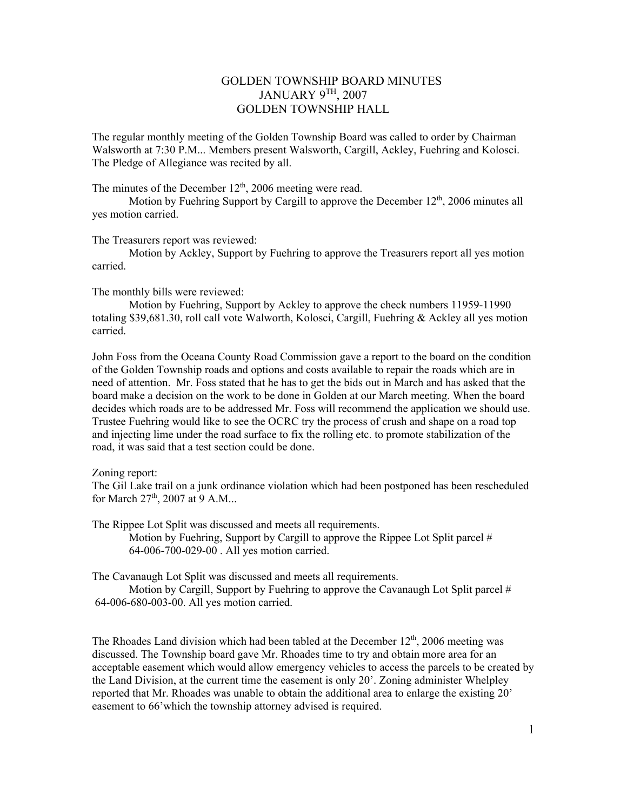## GOLDEN TOWNSHIP BOARD MINUTES JANUARY 9TH, 2007 GOLDEN TOWNSHIP HALL

The regular monthly meeting of the Golden Township Board was called to order by Chairman Walsworth at 7:30 P.M... Members present Walsworth, Cargill, Ackley, Fuehring and Kolosci. The Pledge of Allegiance was recited by all.

The minutes of the December  $12<sup>th</sup>$ , 2006 meeting were read.

Motion by Fuehring Support by Cargill to approve the December  $12<sup>th</sup>$ , 2006 minutes all yes motion carried.

The Treasurers report was reviewed:

 Motion by Ackley, Support by Fuehring to approve the Treasurers report all yes motion carried.

The monthly bills were reviewed:

 Motion by Fuehring, Support by Ackley to approve the check numbers 11959-11990 totaling \$39,681.30, roll call vote Walworth, Kolosci, Cargill, Fuehring & Ackley all yes motion carried.

John Foss from the Oceana County Road Commission gave a report to the board on the condition of the Golden Township roads and options and costs available to repair the roads which are in need of attention. Mr. Foss stated that he has to get the bids out in March and has asked that the board make a decision on the work to be done in Golden at our March meeting. When the board decides which roads are to be addressed Mr. Foss will recommend the application we should use. Trustee Fuehring would like to see the OCRC try the process of crush and shape on a road top and injecting lime under the road surface to fix the rolling etc. to promote stabilization of the road, it was said that a test section could be done.

## Zoning report:

The Gil Lake trail on a junk ordinance violation which had been postponed has been rescheduled for March  $27<sup>th</sup>$ , 2007 at 9 A.M...

The Rippee Lot Split was discussed and meets all requirements. Motion by Fuehring, Support by Cargill to approve the Rippee Lot Split parcel # 64-006-700-029-00 . All yes motion carried.

The Cavanaugh Lot Split was discussed and meets all requirements.

 Motion by Cargill, Support by Fuehring to approve the Cavanaugh Lot Split parcel # 64-006-680-003-00. All yes motion carried.

The Rhoades Land division which had been tabled at the December  $12<sup>th</sup>$ , 2006 meeting was discussed. The Township board gave Mr. Rhoades time to try and obtain more area for an acceptable easement which would allow emergency vehicles to access the parcels to be created by the Land Division, at the current time the easement is only 20'. Zoning administer Whelpley reported that Mr. Rhoades was unable to obtain the additional area to enlarge the existing 20' easement to 66'which the township attorney advised is required.